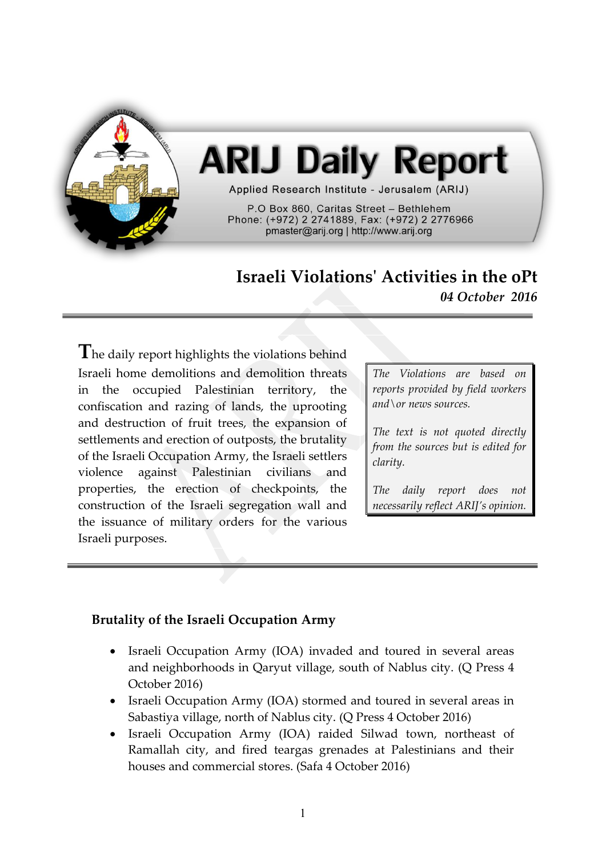

# **ARIJ Daily Report**

Applied Research Institute - Jerusalem (ARIJ)

P.O Box 860, Caritas Street - Bethlehem Phone: (+972) 2 2741889, Fax: (+972) 2 2776966 pmaster@arij.org | http://www.arij.org

## **Israeli Violations' Activities in the oPt** *04 October 2016*

**T**he daily report highlights the violations behind Israeli home demolitions and demolition threats in the occupied Palestinian territory, the confiscation and razing of lands, the uprooting and destruction of fruit trees, the expansion of settlements and erection of outposts, the brutality of the Israeli Occupation Army, the Israeli settlers violence against Palestinian civilians and properties, the erection of checkpoints, the construction of the Israeli segregation wall and the issuance of military orders for the various Israeli purposes.

*The Violations are based on reports provided by field workers and\or news sources.*

*The text is not quoted directly from the sources but is edited for clarity.*

*The daily report does not necessarily reflect ARIJ's opinion.*

### **Brutality of the Israeli Occupation Army**

- Israeli Occupation Army (IOA) invaded and toured in several areas and neighborhoods in Qaryut village, south of Nablus city. (Q Press 4 October 2016)
- Israeli Occupation Army (IOA) stormed and toured in several areas in Sabastiya village, north of Nablus city. (Q Press 4 October 2016)
- Israeli Occupation Army (IOA) raided Silwad town, northeast of Ramallah city, and fired teargas grenades at Palestinians and their houses and commercial stores. (Safa 4 October 2016)